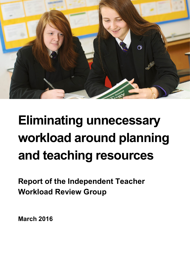

# **Eliminating unnecessary workload around planning and teaching resources**

**Report of the Independent Teacher Workload Review Group**

**March 2016**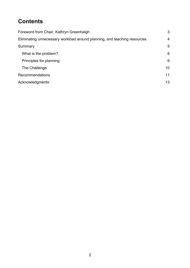# **Contents**

| Foreword from Chair, Kathryn Greenhalgh                                  | 3  |
|--------------------------------------------------------------------------|----|
| Eliminating unnecessary workload around planning, and teaching resources |    |
| Summary                                                                  | 5  |
| What is the problem?                                                     | 6  |
| Principles for planning                                                  | 6  |
| The Challenge                                                            | 10 |
| Recommendations                                                          | 11 |
| Acknowledgments                                                          | 13 |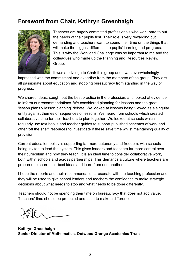# <span id="page-2-0"></span>**Foreword from Chair, Kathryn Greenhalgh**



Teachers are hugely committed professionals who work hard to put the needs of their pupils first. Their role is very rewarding but demanding and teachers want to spend their time on the things that will make the biggest difference to pupils' learning and progress. This is why the Workload Challenge was so important to me and the colleagues who made up the Planning and Resources Review Group.

It was a privilege to Chair this group and I was overwhelmingly

impressed with the commitment and expertise from the members of the group. They are all passionate about education and stopping bureaucracy from standing in the way of progress.

We shared ideas, sought out the best practice in the profession, and looked at evidence to inform our recommendations. We considered planning for lessons and the great 'lesson plans v lesson planning' debate. We looked at lessons being viewed as a singular entity against themes or sequences of lessons. We heard from schools which created collaborative time for their teachers to plan together. We looked at schools which regularly use text books and teacher guides to support published schemes of work and other 'off the shelf' resources to investigate if these save time whilst maintaining quality of provision.

Current education policy is supporting far more autonomy and freedom, with schools being invited to lead the system. This gives leaders and teachers far more control over their curriculum and how they teach. It is an ideal time to consider collaborative work, both within schools and across partnerships. This demands a culture where teachers are prepared to share their best ideas and learn from one another.

I hope the reports and their recommendations resonate with the teaching profession and they will be used to give school leaders and teachers the confidence to make strategic decisions about what needs to stop and what needs to be done differently.

Teachers should not be spending their time on bureaucracy that does not add value. Teachers' time should be protected and used to make a difference.

**Kathryn Greenhalgh Senior Director of Mathematics, Outwood Grange Academies Trust**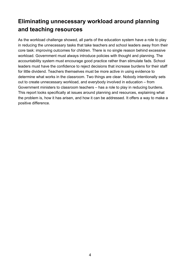# <span id="page-3-0"></span>**Eliminating unnecessary workload around planning and teaching resources**

<span id="page-3-1"></span>As the workload challenge showed, all parts of the education system have a role to play in reducing the unnecessary tasks that take teachers and school leaders away from their core task: improving outcomes for children. There is no single reason behind excessive workload. Government must always introduce policies with thought and planning. The accountability system must encourage good practice rather than stimulate fads. School leaders must have the confidence to reject decisions that increase burdens for their staff for little dividend. Teachers themselves must be more active in using evidence to determine what works in the classroom. Two things are clear. Nobody intentionally sets out to create unnecessary workload, and everybody involved in education – from Government ministers to classroom teachers – has a role to play in reducing burdens. This report looks specifically at issues around planning and resources, explaining what the problem is, how it has arisen, and how it can be addressed. It offers a way to make a positive difference.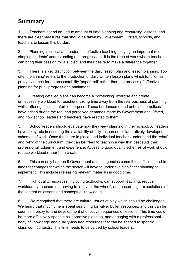# **Summary**

1. Teachers spend an undue amount of time planning and resourcing lessons, and there are clear measures that should be taken by Government, Ofsted, schools, and teachers to lessen this burden.

2. Planning is critical and underpins effective teaching, playing an important role in shaping students' understanding and progression. It is the area of work where teachers can bring their passion for a subject and their desire to make a difference together.

3. There is a key distinction between the daily lesson plan and lesson planning. Too often, 'planning' refers to the production of daily written lesson plans which function as proxy evidence for an accountability 'paper trail' rather than the process of effective planning for pupil progress and attainment.

4. Creating detailed plans can become a 'box-ticking' exercise and create unnecessary workload for teachers, taking time away from the real business of planning, whilst offering 'false comfort' of purpose. These burdensome and unhelpful practices have arisen due to the real and perceived demands made by Government and Ofsted, and how school leaders and teachers have reacted to them.

5. School leaders should evaluate how they view planning in their school. All leaders have a key role in ensuring the availability of fully-resourced collaboratively developed schemes of work. Once these are in place, and individual teachers understand the 'what' and 'why' of the curriculum, they can be freed to teach in a way that best suits their professional judgement and experience. Access to good quality schemes of work should reduce workload rather than create it.

6. This can only happen if Government and its agencies commit to sufficient lead-in times for changes for which the sector will have to undertake significant planning to implement. This includes releasing relevant materials in good time.

7. High quality resources, including textbooks, can support teaching, reduce workload by teachers not having to 'reinvent the wheel', and ensure high expectations of the content of lessons and conceptual knowledge.

8. We recognised that there are cultural issues at play which should be challenged. We heard that much time is spent searching for 'silver bullet' resources, and this can be seen as a proxy for the development of effective sequences of lessons. This time could be more effectively spent in collaborative planning, and engaging with a professional body of knowledge and quality-assured resources that can be shaped to specific classroom contexts. This time needs to be valued by school leaders.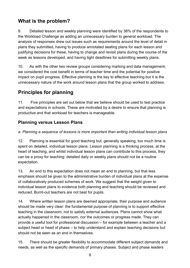# <span id="page-5-0"></span>**What is the problem?**

9. Detailed lesson and weekly planning were identified by 38% of the respondents to the Workload Challenge as adding an unnecessary burden to general workload. The analysis of responses drew out issues such as requirements around the level of detail in plans they submitted, having to produce annotated seating plans for each lesson and justifying decisions for these, having to change and revisit plans during the course of the week as lessons developed, and having tight deadlines for submitting weekly plans.

10. As with the other two review groups considering marking and data management, we considered the cost benefit in terms of teacher time and the potential for positive impact on pupil progress. Effective planning is the key to effective teaching but it is the unnecessary nature of the work around lesson plans that the group worked to address.

# <span id="page-5-1"></span>**Principles for planning**

11. Five principles are set out below that we believe should be used to test practice and expectations in schools. These are motivated by a desire to ensure that planning is productive and that workload for teachers is manageable.

# **Planning versus Lesson Plans**

## *a. Planning a sequence of lessons is more important than writing individual lesson plans*

12. Planning is essential for good teaching but, generally speaking, too much time is spent on detailed, individual lesson plans. Lesson planning is a thinking process, at the heart of teaching, and whilst individual lesson plans can contribute to this process, they can be a proxy for teaching: detailed daily or weekly plans should not be a routine expectation.

13. An end to this expectation does not mean an end to planning, but that less emphasis should be given to the administrative burden of individual plans at the expense of collaboratively produced schemes of work. We suggest that the weight given to individual lesson plans to evidence both planning and teaching should be reviewed and reduced. Burnt-out teachers are not best for pupils.

14. Where written lesson plans are deemed appropriate, their purpose and audience should be made very clear: the fundamental purpose of planning is to support effective teaching in the classroom, not to satisfy external audiences. Plans cannot show what actually happened in the classroom, nor the outcomes or progress made. They can provide a useful tool for professional discussion – for example between a teacher and a subject head or head of phase – to help understand and explain teaching decisions but should not be seen as an end in themselves.

15. There should be greater flexibility to accommodate different subject demands and needs, as well as the specific demands of primary phases. Subject and phase leaders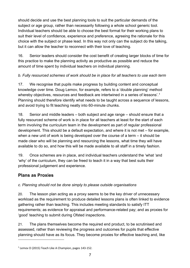should decide and use the best planning tools to suit the particular demands of the subject or age group, rather than necessarily following a whole school generic tool. Individual teachers should be able to choose the best format for their working plans to suit their level of confidence, experience and preference, agreeing the rationale for this choice with the subject or phase lead. In this way not only can the subject do the talking, but it can allow the teacher to reconnect with their love of teaching.

16. Senior leaders should consider the cost benefit of creating larger blocks of time for this practice to make the planning activity as productive as possible and reduce the amount of time spent by individual teachers on individual planning.

## *b. Fully resourced schemes of work should be in place for all teachers to use each term*

17. We recognise that pupils make progress by building content and conceptual knowledge over time. Doug Lemov, for example, refers to a 'double planning' method whereby objectives, resources and feedback are intertwined in a series of lessons'.<sup>[1](#page-6-0)</sup> Planning should therefore identify what needs to be taught across a sequence of lessons, and avoid trying to fit teaching neatly into 60-minute chunks.

18. Senior and middle leaders – both subject and age range – should ensure that a fully resourced scheme of work is in place for all teachers at least for the start of each term involving the curriculum team in the development as part of regular professional development. This should be a default expectation, and where it is not met – for example, when a new unit of work is being developed over the course of a term – it should be made clear who will be planning and resourcing the lessons, what time they will have available to do so, and how this will be made available to all staff in a timely fashion.

19. Once schemes are in place, and individual teachers understand the 'what 'and 'why' of the curriculum, they can be freed to teach it in a way that best suits their professional judgement and experience.

## **Plans as Proxies**

 $\overline{a}$ 

## *c. Planning should not be done simply to please outside organisations*

20. The lesson plan acting as a proxy seems to be the key driver of unnecessary workload as the requirement to produce detailed lessons plans is often linked to evidence gathering rather than teaching. This includes meeting standards to satisfy ITT requirements; as evidence for appraisal and performance-related pay; and as proxies for 'good' teaching to submit during Ofsted inspections.

21. The plans themselves become the required end product, to be scrutinised and assessed, rather than reviewing the progress and outcomes for pupils that effective planning should have as its focus. They become proxies for effective teaching and, like

<span id="page-6-0"></span><sup>&</sup>lt;sup>1</sup> Lemov D (2015) Teach Like A Champion, pages 143-152.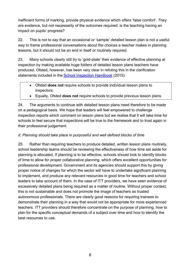inefficient forms of marking, provide physical evidence which offers 'false comfort'. They are evidence, but not necessarily of the outcomes required: is the teaching having an impact on pupils' progress?

22. This is not to say that an occasional or 'sample' detailed lesson plan is not a useful way to frame professional conversations about the choices a teacher makes in planning lessons, but it should not be an end in itself or routinely required.

23. Many schools clearly still try to 'gold-plate' their evidence of effective planning at inspection by making available huge folders of detailed lesson plans teachers have produced. Ofsted, however, has been very clear in refuting this in the clarification statements included in the [School Inspection Handbook](https://www.gov.uk/government/publications/school-inspection-handbook-from-september-2015) (2015):

- Ofsted **does not** require schools to provide individual lesson plans to inspectors.
- Equally, Ofsted **does not** require schools to provide previous lesson plans.

24. The arguments to continue with detailed lesson plans need therefore to be made on a pedagogical basis. We hope that leaders will feel empowered to challenge inspection reports which comment on lesson plans but we realise that it will take time for schools to feel secure that inspections will be true to the framework and to trust again in their professional judgement.

### *d. Planning should take place in purposeful and well defined blocks of time*

25. Rather than requiring teachers to produce detailed, written lesson plans routinely, school leadership teams should be reviewing the effectiveness of how time set aside for planning is allocated. If planning is to be effective, schools should look to identify blocks of time to allow for proper collaborative planning, which offers excellent opportunities for professional development. Government and its agencies should support this by giving proper notice of changes for which the sector will have to undertake significant planning to implement, and produce any relevant resources in good time for teachers and school leaders to take account of them. In the case of ITT providers, we have seen evidence of excessively detailed plans being required as a matter of routine. Without proper context, this is not sustainable and does not promote the image of teachers as trusted autonomous professionals. There are clearly good reasons for requiring trainees to demonstrate their planning in a way that would not be appropriate for more experienced teachers. ITT providers should therefore concentrate on the purpose of planning, how to plan for the specific conceptual demands of a subject over time and how to identify the best resources to use.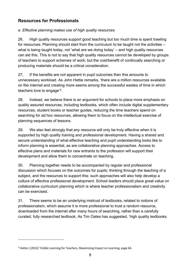## **Resources for Professionals**

## *e. Effective planning makes use of high quality resources*

26. High quality resources support good teaching but too much time is spent trawling for resources. Planning should start from the curriculum to be taught not the activities – what is being taught today, not 'what are we doing today' – and high quality resources can aid this. This is not to say that high quality resources cannot be developed by groups of teachers to support schemes of work, but the cost/benefit of continually searching or producing materials should be a critical consideration.

27. If the benefits are not apparent in pupil outcomes then this amounts to unnecessary workload. As John Hattie remarks, 'there are a million resources available on the internet and creating more seems among the successful wastes of time in which teachers love to engage' [2](#page-8-0).

28. Instead, we believe there is an argument for schools to place more emphasis on quality assured resources, including textbooks, which often include digital supplementary resources, student books or teacher guides, reducing the time teachers spend on searching for ad hoc resources, allowing them to focus on the intellectual exercise of planning sequences of lessons.

29. We also feel strongly that any resource will only be truly effective when it is supported by high quality training and professional development. Having a shared and secure understanding of what effective teaching and pupil understanding looks like to inform planning is essential, as are collaborative planning approaches. Access to effective plans and materials for new entrants to the profession will support their development and allow them to concentrate on teaching.

30. Planning together needs to be accompanied by regular and professional discussion which focuses on the outcomes for pupils; thinking through the teaching of a subject, and the resources to support this: such approaches will also help develop a culture of effective professional development. School leaders should place great value on collaborative curriculum planning which is where teacher professionalism and creativity can be exercised.

31. There seems to be an underlying mistrust of textbooks, related to notions of professionalism, which assume it is more professional to trust a random resource, downloaded from the internet after many hours of searching, rather than a carefully curated, fully researched textbook. As Tim Oates has suggested, 'high quality textbooks

 $\overline{a}$ 

<span id="page-8-0"></span><sup>&</sup>lt;sup>2</sup> Hattie J (2012) 'Visible Learning for Teachers, Maximising Impact on Learning, page 64.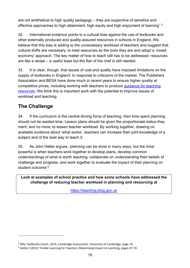are not antithetical to high quality pedagogy – they are supportive of sensitive and effective approaches to high attainment, high equity and high enjoyment of learning' [3](#page-9-1).

32. International evidence points to a cultural bias against the use of textbooks and other externally produced and quality-assured resources in schools in England. We believe that this bias is adding to the unnecessary workload of teachers and suggest that cultural shifts are necessary; to treat resources as the tools they are and adopt a 'mixed economy' approach. The key matter of how to teach still has to be addressed: resources are like a recipe – a useful base but the flair of the chef is still needed.

33. It is clear, though, that issues of cost and quality have imposed limitations on the supply of textbooks in England. In response to criticisms of the market, The Publishers Association and BESA have done much in recent years to ensure higher quality at competitive prices, including working with teachers to produce [guidance for teaching](http://www.publishers.org.uk/about-us/information/guidance-for-the-publishing-of-educational-teaching-resources/)  [resources.](http://www.publishers.org.uk/about-us/information/guidance-for-the-publishing-of-educational-teaching-resources/) We think this is important work with the potential to improve issues of workload and teaching.

# <span id="page-9-0"></span>**The Challenge**

 $\overline{a}$ 

34. If the curriculum is the central driving force of teaching, then time spent planning should not be wasted time. Lesson plans should be given the proportionate status they merit, and no more, to lessen teacher workload. By working together, drawing on available evidence about 'what works', teachers can increase their joint knowledge of a subject and of the best way to teach it.

35. As John Hattie argues, 'planning can be done in many ways, but the most powerful is when teachers work together to develop plans, develop common understandings of what is worth teaching, collaborate on understanding their beliefs of challenge and progress, and work together to evaluate the impact of their planning on student outcome'*[4](#page-9-2)*.

## **Look at examples of school practice and how some schools have addressed the challenge of reducing teacher workload in planning and resourcing at**

[https://teaching.blog.gov.uk](https://teaching.blog.gov.uk/)

<span id="page-9-1"></span><sup>3</sup> Why Textbooks Count, 2014, Cambridge Assessment, University of Cambridge, page 19.

<span id="page-9-2"></span><sup>4</sup> Hattie J (2012) 'Visible Learning for Teachers, Maximising Impact on Learning, pages 67-74.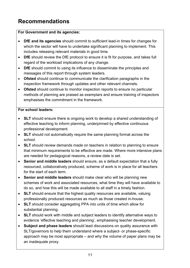# <span id="page-10-0"></span>**Recommendations**

## **For Government and its agencies:**

- **DfE and its agencies** should commit to sufficient lead-in times for changes for which the sector will have to undertake significant planning to implement. This includes releasing relevant materials in good time.
- **DfE** should review the DfE protocol to ensure it is fit for purpose, and takes full regard of the workload implications of any change.
- **DfE** should commit to using its influence to disseminate the principles and messages of this report through system leaders.
- **Ofsted** should continue to communicate the clarification paragraphs in the inspection framework through updates and other relevant channels.
- **Ofsted** should continue to monitor inspection reports to ensure no particular methods of planning are praised as exemplars and ensure training of inspectors emphasises the commitment in the framework.

## **For school leaders:**

- **SLT** should ensure there is ongoing work to develop a shared understanding of effective teaching to inform planning, underpinned by effective continuous professional development.
- **SLT** should not automatically require the same planning format across the school.
- **SLT** should review demands made on teachers in relation to planning to ensure that minimum requirements to be effective are made. Where more intensive plans are needed for pedagogical reasons, a review date is set.
- **Senior and middle leaders** should ensure, as a default expectation that a fully resourced, collaboratively produced, scheme of work is in place for all teachers for the start of each term.
- **Senior and middle leaders** should make clear who will be planning new schemes of work and associated resources, what time they will have available to do so, and how this will be made available to all staff in a timely fashion.
- **SLT** should ensure that the highest quality resources are available, valuing professionally produced resources as much as those created in-house.
- **SLT** should consider aggregating PPA into units of time which allow for substantial planning.
- **SLT** should work with middle and subject leaders to identify alternative ways to evidence 'effective teaching and planning', emphasising teacher development.
- **Subject and phase leaders** should lead discussions on quality assurance with SLT/governors to help them understand where a subject- or phase-specific approach may be most appropriate – and why the volume of paper plans may be an inadequate proxy.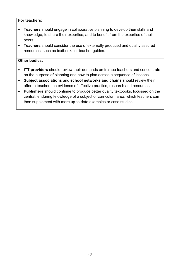#### **For teachers:**

- **Teachers** should engage in collaborative planning to develop their skills and knowledge, to share their expertise, and to benefit from the expertise of their peers.
- **Teachers** should consider the use of externally produced and quality assured resources, such as textbooks or teacher guides.

#### **Other bodies:**

- **ITT providers** should review their demands on trainee teachers and concentrate on the purpose of planning and how to plan across a sequence of lessons.
- **Subject associations** and **school networks and chains** should review their offer to teachers on evidence of effective practice, research and resources.
- **Publishers** should continue to produce better quality textbooks, focussed on the central, enduring knowledge of a subject or curriculum area, which teachers can then supplement with more up-to-date examples or case studies.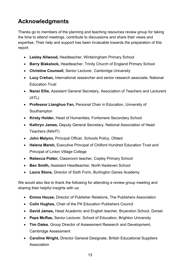# <span id="page-12-0"></span>**Acknowledgments**

Thanks go to members of the planning and teaching resources review group for taking the time to attend meetings, contribute to discussions and share their views and expertise. Their help and support has been invaluable towards the preparation of this report:

- **Lesley Allwood,** Headteacher, Winteringham Primary School
- **Barry Blakelock,** Headteacher, Trinity Church of England Primary School
- **Christine Counsell,** Senior Lecturer, Cambridge University
- **Lucy Crehan,** International researcher and senior research associate, National Education Trust
- **Nansi Ellis,** Assistant General Secretary, Association of Teachers and Lecturers (ATL)
- **Professor Lianghuo Fan,** Personal Chair in Education, University of **Southampton**
- **Kirsty Holder,** Head of Humanities, Fortismere Secondary School
- **Kathryn James,** Deputy General Secretary, National Association of Head Teachers (NAHT)
- **John Malynn,** Principal Officer, Schools Policy, Ofsted
- **Helena Marsh,** Executive Principal of Chilford Hundred Education Trust and Principal of Linton Village College
- **Rebecca Potter,** Classroom teacher, Copley Primary School
- **Ben Smith,** Assistant Headteacher, North Kesteven School
- **Laura Stone,** Director of Sixth Form, Burlington Danes Academy

We would also like to thank the following for attending a review group meeting and sharing their helpful insights with us:

- **Emma House,** Director of Publisher Relations, The Publishers Association
- **Colin Hughes,** Chair of the PA Education Publishers Council
- **David James,** Head Academic and English teacher, Bryanston School, Dorset
- **Peps McRae,** Senior Lecturer, School of Education, Brighton University
- **Tim Oates***,* Group Director of Assessment Research and Development, Cambridge Assessment
- **Caroline Wright,** Director General Designate, British Educational Suppliers **Association**